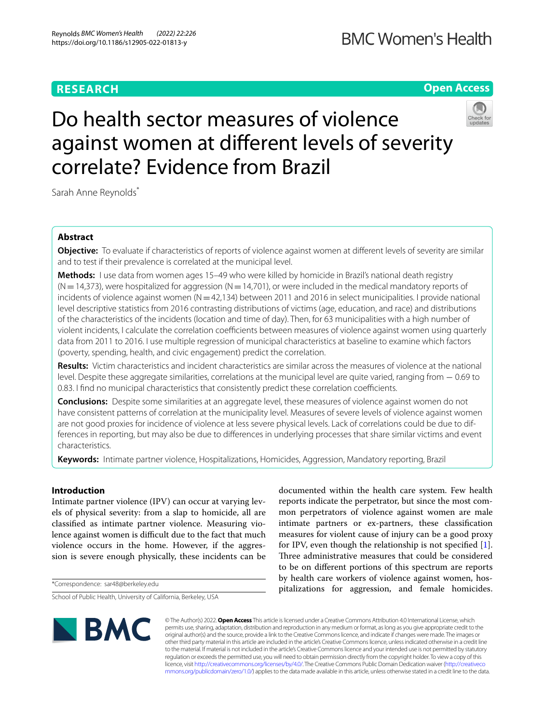# **RESEARCH**

# **Open Access**



# Do health sector measures of violence against women at diferent levels of severity correlate? Evidence from Brazil

Sarah Anne Reynolds<sup>\*</sup>

# **Abstract**

**Objective:** To evaluate if characteristics of reports of violence against women at diferent levels of severity are similar and to test if their prevalence is correlated at the municipal level.

**Methods:** I use data from women ages 15–49 who were killed by homicide in Brazil's national death registry  $(N=14,373)$ , were hospitalized for aggression  $(N=14,701)$ , or were included in the medical mandatory reports of incidents of violence against women  $(N=42,134)$  between 2011 and 2016 in select municipalities. I provide national level descriptive statistics from 2016 contrasting distributions of victims (age, education, and race) and distributions of the characteristics of the incidents (location and time of day). Then, for 63 municipalities with a high number of violent incidents, I calculate the correlation coefficients between measures of violence against women using quarterly data from 2011 to 2016. I use multiple regression of municipal characteristics at baseline to examine which factors (poverty, spending, health, and civic engagement) predict the correlation.

**Results:** Victim characteristics and incident characteristics are similar across the measures of violence at the national level. Despite these aggregate similarities, correlations at the municipal level are quite varied, ranging from − 0.69 to 0.83. I find no municipal characteristics that consistently predict these correlation coefficients.

**Conclusions:** Despite some similarities at an aggregate level, these measures of violence against women do not have consistent patterns of correlation at the municipality level. Measures of severe levels of violence against women are not good proxies for incidence of violence at less severe physical levels. Lack of correlations could be due to differences in reporting, but may also be due to diferences in underlying processes that share similar victims and event characteristics.

**Keywords:** Intimate partner violence, Hospitalizations, Homicides, Aggression, Mandatory reporting, Brazil

# **Introduction**

Intimate partner violence (IPV) can occur at varying levels of physical severity: from a slap to homicide, all are classifed as intimate partner violence. Measuring violence against women is difficult due to the fact that much violence occurs in the home. However, if the aggression is severe enough physically, these incidents can be

\*Correspondence: sar48@berkeley.edu

documented within the health care system. Few health reports indicate the perpetrator, but since the most common perpetrators of violence against women are male intimate partners or ex-partners, these classifcation measures for violent cause of injury can be a good proxy for IPV, even though the relationship is not specifed [\[1](#page-10-0)]. Three administrative measures that could be considered to be on diferent portions of this spectrum are reports by health care workers of violence against women, hospitalizations for aggression, and female homicides.



© The Author(s) 2022. **Open Access** This article is licensed under a Creative Commons Attribution 4.0 International License, which permits use, sharing, adaptation, distribution and reproduction in any medium or format, as long as you give appropriate credit to the original author(s) and the source, provide a link to the Creative Commons licence, and indicate if changes were made. The images or other third party material in this article are included in the article's Creative Commons licence, unless indicated otherwise in a credit line to the material. If material is not included in the article's Creative Commons licence and your intended use is not permitted by statutory regulation or exceeds the permitted use, you will need to obtain permission directly from the copyright holder. To view a copy of this licence, visit [http://creativecommons.org/licenses/by/4.0/.](http://creativecommons.org/licenses/by/4.0/) The Creative Commons Public Domain Dedication waiver ([http://creativeco](http://creativecommons.org/publicdomain/zero/1.0/) [mmons.org/publicdomain/zero/1.0/](http://creativecommons.org/publicdomain/zero/1.0/)) applies to the data made available in this article, unless otherwise stated in a credit line to the data.

School of Public Health, University of California, Berkeley, USA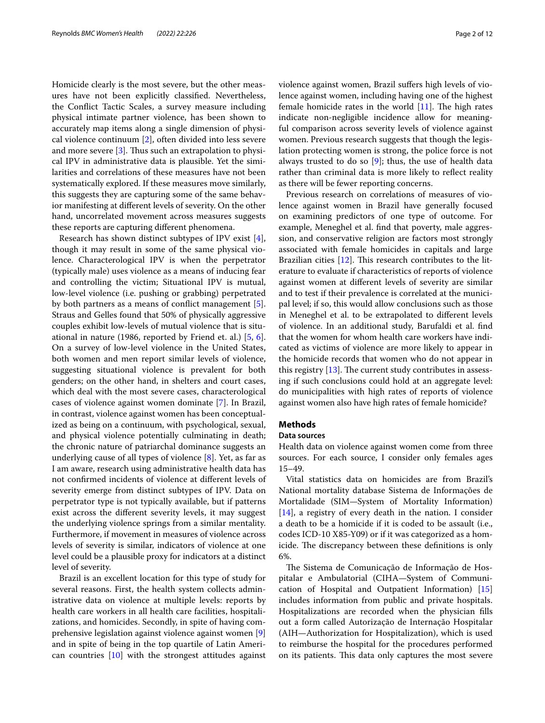Homicide clearly is the most severe, but the other measures have not been explicitly classifed. Nevertheless, the Confict Tactic Scales, a survey measure including physical intimate partner violence, has been shown to accurately map items along a single dimension of physical violence continuum [\[2](#page-10-1)], often divided into less severe and more severe  $[3]$  $[3]$ . Thus such an extrapolation to physical IPV in administrative data is plausible. Yet the similarities and correlations of these measures have not been systematically explored. If these measures move similarly, this suggests they are capturing some of the same behavior manifesting at diferent levels of severity. On the other hand, uncorrelated movement across measures suggests these reports are capturing diferent phenomena.

Research has shown distinct subtypes of IPV exist [\[4](#page-10-3)], though it may result in some of the same physical violence. Characterological IPV is when the perpetrator (typically male) uses violence as a means of inducing fear and controlling the victim; Situational IPV is mutual, low-level violence (i.e. pushing or grabbing) perpetrated by both partners as a means of confict management [\[5](#page-10-4)]. Straus and Gelles found that 50% of physically aggressive couples exhibit low-levels of mutual violence that is situational in nature (1986, reported by Friend et. al.) [[5,](#page-10-4) [6](#page-10-5)]. On a survey of low-level violence in the United States, both women and men report similar levels of violence, suggesting situational violence is prevalent for both genders; on the other hand, in shelters and court cases, which deal with the most severe cases, characterological cases of violence against women dominate [\[7](#page-10-6)]. In Brazil, in contrast, violence against women has been conceptualized as being on a continuum, with psychological, sexual, and physical violence potentially culminating in death; the chronic nature of patriarchal dominance suggests an underlying cause of all types of violence  $[8]$  $[8]$ . Yet, as far as I am aware, research using administrative health data has not confrmed incidents of violence at diferent levels of severity emerge from distinct subtypes of IPV. Data on perpetrator type is not typically available, but if patterns exist across the diferent severity levels, it may suggest the underlying violence springs from a similar mentality. Furthermore, if movement in measures of violence across levels of severity is similar, indicators of violence at one level could be a plausible proxy for indicators at a distinct level of severity.

Brazil is an excellent location for this type of study for several reasons. First, the health system collects administrative data on violence at multiple levels: reports by health care workers in all health care facilities, hospitalizations, and homicides. Secondly, in spite of having comprehensive legislation against violence against women [\[9](#page-10-8)] and in spite of being in the top quartile of Latin American countries [[10](#page-10-9)] with the strongest attitudes against violence against women, Brazil sufers high levels of violence against women, including having one of the highest female homicide rates in the world  $[11]$  $[11]$ . The high rates indicate non-negligible incidence allow for meaningful comparison across severity levels of violence against women. Previous research suggests that though the legislation protecting women is strong, the police force is not always trusted to do so  $[9]$  $[9]$ ; thus, the use of health data rather than criminal data is more likely to reflect reality as there will be fewer reporting concerns.

Previous research on correlations of measures of violence against women in Brazil have generally focused on examining predictors of one type of outcome. For example, Meneghel et al. fnd that poverty, male aggression, and conservative religion are factors most strongly associated with female homicides in capitals and large Brazilian cities  $[12]$  $[12]$ . This research contributes to the literature to evaluate if characteristics of reports of violence against women at diferent levels of severity are similar and to test if their prevalence is correlated at the municipal level; if so, this would allow conclusions such as those in Meneghel et al. to be extrapolated to diferent levels of violence. In an additional study, Barufaldi et al. fnd that the women for whom health care workers have indicated as victims of violence are more likely to appear in the homicide records that women who do not appear in this registry  $[13]$  $[13]$ . The current study contributes in assessing if such conclusions could hold at an aggregate level: do municipalities with high rates of reports of violence against women also have high rates of female homicide?

# **Methods**

# **Data sources**

Health data on violence against women come from three sources. For each source, I consider only females ages 15–49.

Vital statistics data on homicides are from Brazil's National mortality database Sistema de Informações de Mortalidade (SIM—System of Mortality Information) [[14\]](#page-10-13), a registry of every death in the nation. I consider a death to be a homicide if it is coded to be assault (i.e., codes ICD-10 X85-Y09) or if it was categorized as a homicide. The discrepancy between these definitions is only 6%.

The Sistema de Comunicação de Informação de Hospitalar e Ambulatorial (CIHA—System of Communication of Hospital and Outpatient Information) [[15](#page-10-14)] includes information from public and private hospitals. Hospitalizations are recorded when the physician flls out a form called Autorização de Internação Hospitalar (AIH—Authorization for Hospitalization), which is used to reimburse the hospital for the procedures performed on its patients. This data only captures the most severe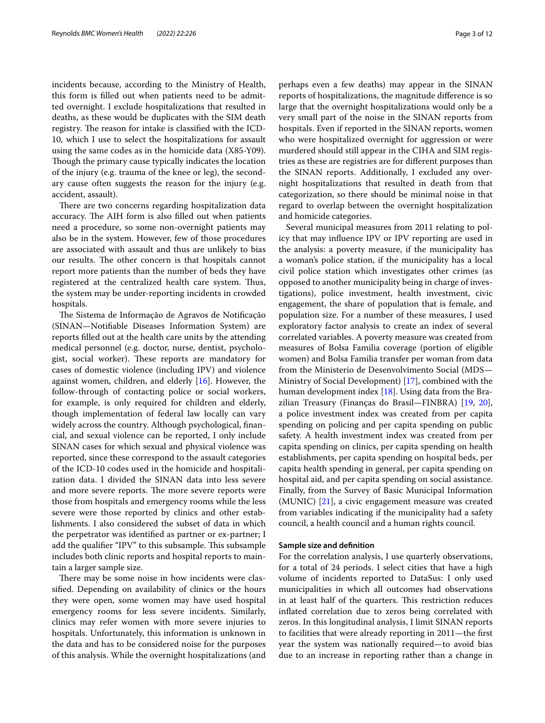incidents because, according to the Ministry of Health, this form is flled out when patients need to be admitted overnight. I exclude hospitalizations that resulted in deaths, as these would be duplicates with the SIM death registry. The reason for intake is classified with the ICD-10, which I use to select the hospitalizations for assault using the same codes as in the homicide data (X85-Y09). Though the primary cause typically indicates the location of the injury (e.g. trauma of the knee or leg), the secondary cause often suggests the reason for the injury (e.g. accident, assault).

There are two concerns regarding hospitalization data accuracy. The AIH form is also filled out when patients need a procedure, so some non-overnight patients may also be in the system. However, few of those procedures are associated with assault and thus are unlikely to bias our results. The other concern is that hospitals cannot report more patients than the number of beds they have registered at the centralized health care system. Thus, the system may be under-reporting incidents in crowded hospitals.

The Sistema de Informação de Agravos de Notificação (SINAN—Notifable Diseases Information System) are reports flled out at the health care units by the attending medical personnel (e.g. doctor, nurse, dentist, psychologist, social worker). These reports are mandatory for cases of domestic violence (including IPV) and violence against women, children, and elderly [[16\]](#page-10-15). However, the follow-through of contacting police or social workers, for example, is only required for children and elderly, though implementation of federal law locally can vary widely across the country. Although psychological, fnancial, and sexual violence can be reported, I only include SINAN cases for which sexual and physical violence was reported, since these correspond to the assault categories of the ICD-10 codes used in the homicide and hospitalization data. I divided the SINAN data into less severe and more severe reports. The more severe reports were those from hospitals and emergency rooms while the less severe were those reported by clinics and other establishments. I also considered the subset of data in which the perpetrator was identifed as partner or ex-partner; I add the qualifier "IPV" to this subsample. This subsample includes both clinic reports and hospital reports to maintain a larger sample size.

There may be some noise in how incidents were classifed. Depending on availability of clinics or the hours they were open, some women may have used hospital emergency rooms for less severe incidents. Similarly, clinics may refer women with more severe injuries to hospitals. Unfortunately, this information is unknown in the data and has to be considered noise for the purposes of this analysis. While the overnight hospitalizations (and perhaps even a few deaths) may appear in the SINAN reports of hospitalizations, the magnitude diference is so large that the overnight hospitalizations would only be a very small part of the noise in the SINAN reports from hospitals. Even if reported in the SINAN reports, women

who were hospitalized overnight for aggression or were murdered should still appear in the CIHA and SIM registries as these are registries are for diferent purposes than the SINAN reports. Additionally, I excluded any overnight hospitalizations that resulted in death from that categorization, so there should be minimal noise in that regard to overlap between the overnight hospitalization and homicide categories.

Several municipal measures from 2011 relating to policy that may infuence IPV or IPV reporting are used in the analysis: a poverty measure, if the municipality has a woman's police station, if the municipality has a local civil police station which investigates other crimes (as opposed to another municipality being in charge of investigations), police investment, health investment, civic engagement, the share of population that is female, and population size. For a number of these measures, I used exploratory factor analysis to create an index of several correlated variables. A poverty measure was created from measures of Bolsa Familia coverage (portion of eligible women) and Bolsa Familia transfer per woman from data from the Ministerio de Desenvolvimento Social (MDS— Ministry of Social Development) [\[17\]](#page-10-16), combined with the human development index [\[18](#page-10-17)]. Using data from the Brazilian Treasury (Finanças do Brasil—FINBRA) [\[19](#page-10-18), [20](#page-10-19)], a police investment index was created from per capita spending on policing and per capita spending on public safety. A health investment index was created from per capita spending on clinics, per capita spending on health establishments, per capita spending on hospital beds, per capita health spending in general, per capita spending on hospital aid, and per capita spending on social assistance. Finally, from the Survey of Basic Municipal Information (MUNIC) [[21](#page-10-20)], a civic engagement measure was created from variables indicating if the municipality had a safety council, a health council and a human rights council.

# **Sample size and defnition**

For the correlation analysis, I use quarterly observations, for a total of 24 periods. I select cities that have a high volume of incidents reported to DataSus: I only used municipalities in which all outcomes had observations in at least half of the quarters. This restriction reduces infated correlation due to zeros being correlated with zeros. In this longitudinal analysis, I limit SINAN reports to facilities that were already reporting in 2011—the frst year the system was nationally required—to avoid bias due to an increase in reporting rather than a change in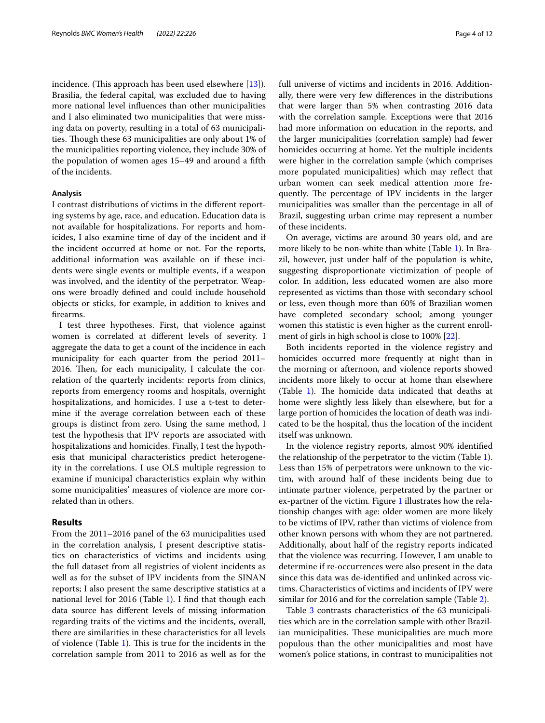incidence. (This approach has been used elsewhere  $[13]$ ). Brasilia, the federal capital, was excluded due to having more national level infuences than other municipalities and I also eliminated two municipalities that were missing data on poverty, resulting in a total of 63 municipalities. Though these 63 municipalities are only about 1% of the municipalities reporting violence, they include 30% of the population of women ages 15–49 and around a ffth of the incidents.

## **Analysis**

I contrast distributions of victims in the diferent reporting systems by age, race, and education. Education data is not available for hospitalizations. For reports and homicides, I also examine time of day of the incident and if the incident occurred at home or not. For the reports, additional information was available on if these incidents were single events or multiple events, if a weapon was involved, and the identity of the perpetrator. Weapons were broadly defned and could include household objects or sticks, for example, in addition to knives and frearms.

I test three hypotheses. First, that violence against women is correlated at diferent levels of severity. I aggregate the data to get a count of the incidence in each municipality for each quarter from the period 2011–  $2016$ . Then, for each municipality, I calculate the correlation of the quarterly incidents: reports from clinics, reports from emergency rooms and hospitals, overnight hospitalizations, and homicides. I use a t-test to determine if the average correlation between each of these groups is distinct from zero. Using the same method, I test the hypothesis that IPV reports are associated with hospitalizations and homicides. Finally, I test the hypothesis that municipal characteristics predict heterogeneity in the correlations. I use OLS multiple regression to examine if municipal characteristics explain why within some municipalities' measures of violence are more correlated than in others.

## **Results**

From the 2011–2016 panel of the 63 municipalities used in the correlation analysis, I present descriptive statistics on characteristics of victims and incidents using the full dataset from all registries of violent incidents as well as for the subset of IPV incidents from the SINAN reports; I also present the same descriptive statistics at a national level for 20[1](#page-4-0)6 (Table 1). I find that though each data source has diferent levels of missing information regarding traits of the victims and the incidents, overall, there are similarities in these characteristics for all levels of violence (Table [1\)](#page-4-0). This is true for the incidents in the correlation sample from 2011 to 2016 as well as for the full universe of victims and incidents in 2016. Additionally, there were very few diferences in the distributions that were larger than 5% when contrasting 2016 data with the correlation sample. Exceptions were that 2016 had more information on education in the reports, and the larger municipalities (correlation sample) had fewer homicides occurring at home. Yet the multiple incidents were higher in the correlation sample (which comprises more populated municipalities) which may refect that urban women can seek medical attention more frequently. The percentage of IPV incidents in the larger municipalities was smaller than the percentage in all of Brazil, suggesting urban crime may represent a number of these incidents.

On average, victims are around 30 years old, and are more likely to be non-white than white (Table [1](#page-4-0)). In Brazil, however, just under half of the population is white, suggesting disproportionate victimization of people of color. In addition, less educated women are also more represented as victims than those with secondary school or less, even though more than 60% of Brazilian women have completed secondary school; among younger women this statistic is even higher as the current enrollment of girls in high school is close to 100% [[22](#page-10-21)].

Both incidents reported in the violence registry and homicides occurred more frequently at night than in the morning or afternoon, and violence reports showed incidents more likely to occur at home than elsewhere (Table  $1$ ). The homicide data indicated that deaths at home were slightly less likely than elsewhere, but for a large portion of homicides the location of death was indicated to be the hospital, thus the location of the incident itself was unknown.

In the violence registry reports, almost 90% identifed the relationship of the perpetrator to the victim (Table [1](#page-4-0)). Less than 15% of perpetrators were unknown to the victim, with around half of these incidents being due to intimate partner violence, perpetrated by the partner or ex-partner of the victim. Figure [1](#page-5-0) illustrates how the relationship changes with age: older women are more likely to be victims of IPV, rather than victims of violence from other known persons with whom they are not partnered. Additionally, about half of the registry reports indicated that the violence was recurring. However, I am unable to determine if re-occurrences were also present in the data since this data was de-identifed and unlinked across victims. Characteristics of victims and incidents of IPV were similar for 2016 and for the correlation sample (Table [2](#page-6-0)).

Table [3](#page-7-0) contrasts characteristics of the 63 municipalities which are in the correlation sample with other Brazilian municipalities. These municipalities are much more populous than the other municipalities and most have women's police stations, in contrast to municipalities not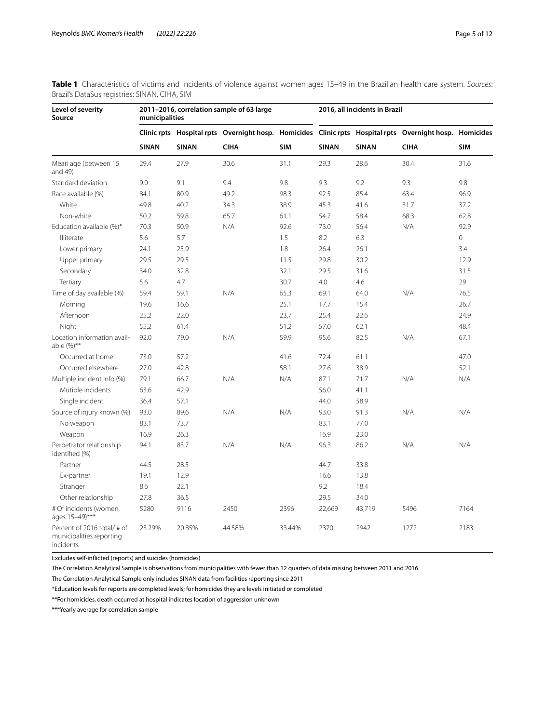| Level of severity<br>Source                                                 | municipalities |              | 2011-2016, correlation sample of 63 large |            |              | 2016, all incidents in Brazil |                                                                                                         |            |
|-----------------------------------------------------------------------------|----------------|--------------|-------------------------------------------|------------|--------------|-------------------------------|---------------------------------------------------------------------------------------------------------|------------|
|                                                                             |                |              |                                           |            |              |                               | Clinic rpts Hospital rpts Overnight hosp. Homicides Clinic rpts Hospital rpts Overnight hosp. Homicides |            |
|                                                                             | <b>SINAN</b>   | <b>SINAN</b> | <b>CIHA</b>                               | <b>SIM</b> | <b>SINAN</b> | <b>SINAN</b>                  | <b>CIHA</b>                                                                                             | <b>SIM</b> |
| Mean age (between 15<br>and 49)                                             | 29.4           | 27.9         | 30.6                                      | 31.1       | 29.3         | 28.6                          | 30.4                                                                                                    | 31.6       |
| Standard deviation                                                          | 9.0            | 9.1          | 9.4                                       | 9.8        | 9.3          | 9.2                           | 9.3                                                                                                     | 9.8        |
| Race available (%)                                                          | 84.1           | 80.9         | 49.2                                      | 98.3       | 92.5         | 85.4                          | 63.4                                                                                                    | 96.9       |
| White                                                                       | 49.8           | 40.2         | 34.3                                      | 38.9       | 45.3         | 41.6                          | 31.7                                                                                                    | 37.2       |
| Non-white                                                                   | 50.2           | 59.8         | 65.7                                      | 61.1       | 54.7         | 58.4                          | 68.3                                                                                                    | 62.8       |
| Education available (%)*                                                    | 70.3           | 50.9         | N/A                                       | 92.6       | 73.0         | 56.4                          | N/A                                                                                                     | 92.9       |
| Illiterate                                                                  | 5.6            | 5.7          |                                           | 1.5        | 8.2          | 6.3                           |                                                                                                         | $\circ$    |
| Lower primary                                                               | 24.1           | 25.9         |                                           | 1.8        | 26.4         | 26.1                          |                                                                                                         | 3.4        |
| Upper primary                                                               | 29.5           | 29.5         |                                           | 11.5       | 29.8         | 30.2                          |                                                                                                         | 12.9       |
| Secondary                                                                   | 34.0           | 32.8         |                                           | 32.1       | 29.5         | 31.6                          |                                                                                                         | 31.5       |
| Tertiary                                                                    | 5.6            | 4.7          |                                           | 30.7       | 4.0          | 4.6                           |                                                                                                         | 29         |
| Time of day available (%)                                                   | 59.4           | 59.1         | N/A                                       | 65.3       | 69.1         | 64.0                          | N/A                                                                                                     | 76.5       |
| Morning                                                                     | 19.6           | 16.6         |                                           | 25.1       | 17.7         | 15.4                          |                                                                                                         | 26.7       |
| Afternoon                                                                   | 25.2           | 22.0         |                                           | 23.7       | 25.4         | 22.6                          |                                                                                                         | 24.9       |
| Night                                                                       | 55.2           | 61.4         |                                           | 51.2       | 57.0         | 62.1                          |                                                                                                         | 48.4       |
| Location information avail-<br>able (%)**                                   | 92.0           | 79.0         | N/A                                       | 59.9       | 95.6         | 82.5                          | N/A                                                                                                     | 67.1       |
| Occurred at home                                                            | 73.0           | 57.2         |                                           | 41.6       | 72.4         | 61.1                          |                                                                                                         | 47.0       |
| Occurred elsewhere                                                          | 27.0           | 42.8         |                                           | 58.1       | 27.6         | 38.9                          |                                                                                                         | 52.1       |
| Multiple incident info (%)                                                  | 79.1           | 66.7         | N/A                                       | N/A        | 87.1         | 71.7                          | N/A                                                                                                     | N/A        |
| Mutiple incidents                                                           | 63.6           | 42.9         |                                           |            | 56.0         | 41.1                          |                                                                                                         |            |
| Single incident                                                             | 36.4           | 57.1         |                                           |            | 44.0         | 58.9                          |                                                                                                         |            |
| Source of injury known (%)                                                  | 93.0           | 89.6         | N/A                                       | N/A        | 93.0         | 91.3                          | N/A                                                                                                     | N/A        |
| No weapon                                                                   | 83.1           | 73.7         |                                           |            | 83.1         | 77.0                          |                                                                                                         |            |
| Weapon                                                                      | 16.9           | 26.3         |                                           |            | 16.9         | 23.0                          |                                                                                                         |            |
| Perpetrator relationship<br>identified (%)                                  | 94.1           | 83.7         | N/A                                       | N/A        | 96.3         | 86.2                          | N/A                                                                                                     | N/A        |
| Partner                                                                     | 44.5           | 28.5         |                                           |            | 44.7         | 33.8                          |                                                                                                         |            |
| Ex-partner                                                                  | 19.1           | 12.9         |                                           |            | 16.6         | 13.8                          |                                                                                                         |            |
| Stranger                                                                    | 8.6            | 22.1         |                                           |            | 9.2          | 18.4                          |                                                                                                         |            |
| Other relationship                                                          | 27.8           | 36.5         |                                           |            | 29.5         | 34.0                          |                                                                                                         |            |
| # Of incidents (women,<br>ages 15-49)***                                    | 5280           | 9116         | 2450                                      | 2396       | 22,669       | 43,719                        | 5496                                                                                                    | 7164       |
| Percent of 2016 total/ # of<br>municipalities reporting<br><i>incidents</i> | 23.29%         | 20.85%       | 44.58%                                    | 33.44%     | 2370         | 2942                          | 1272                                                                                                    | 2183       |

<span id="page-4-0"></span>**Table 1** Characteristics of victims and incidents of violence against women ages 15–49 in the Brazilian health care system. *Sources*: Brazil's DataSus registries: SINAN, CIHA, SIM

Excludes self-inficted (reports) and suicides (homicides)

The Correlation Analytical Sample is observations from municipalities with fewer than 12 quarters of data missing between 2011 and 2016

The Correlation Analytical Sample only includes SINAN data from facilities reporting since 2011

\*Education levels for reports are completed levels; for homicides they are levels initiated or completed

\*\*For homicides, death occurred at hospital indicates location of aggression unknown

\*\*\*Yearly average for correlation sample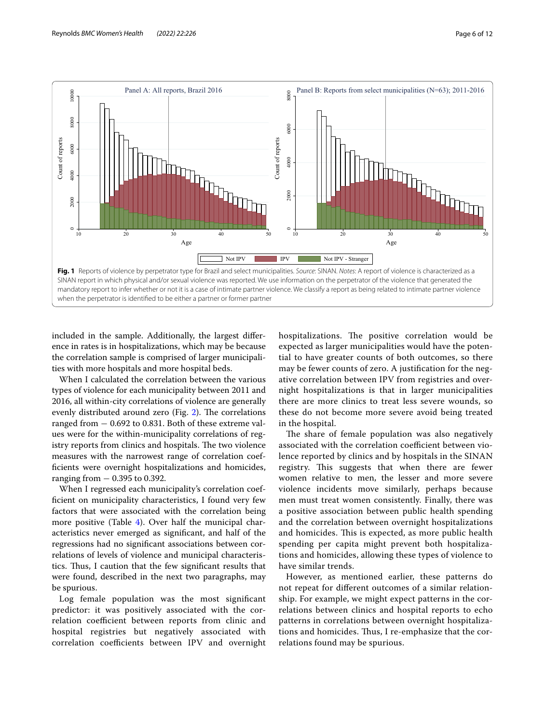

<span id="page-5-0"></span>included in the sample. Additionally, the largest diference in rates is in hospitalizations, which may be because the correlation sample is comprised of larger municipalities with more hospitals and more hospital beds.

When I calculated the correlation between the various types of violence for each municipality between 2011 and 2016, all within-city correlations of violence are generally evenly distributed around zero (Fig. [2](#page-8-0)). The correlations ranged from − 0.692 to 0.831. Both of these extreme values were for the within-municipality correlations of registry reports from clinics and hospitals. The two violence measures with the narrowest range of correlation coeffcients were overnight hospitalizations and homicides, ranging from − 0.395 to 0.392.

When I regressed each municipality's correlation coeffcient on municipality characteristics, I found very few factors that were associated with the correlation being more positive (Table [4](#page-9-0)). Over half the municipal characteristics never emerged as signifcant, and half of the regressions had no signifcant associations between correlations of levels of violence and municipal characteristics. Thus, I caution that the few significant results that were found, described in the next two paragraphs, may be spurious.

Log female population was the most signifcant predictor: it was positively associated with the correlation coefficient between reports from clinic and hospital registries but negatively associated with correlation coefficients between IPV and overnight hospitalizations. The positive correlation would be expected as larger municipalities would have the potential to have greater counts of both outcomes, so there may be fewer counts of zero. A justifcation for the negative correlation between IPV from registries and overnight hospitalizations is that in larger municipalities there are more clinics to treat less severe wounds, so these do not become more severe avoid being treated in the hospital.

The share of female population was also negatively associated with the correlation coefficient between violence reported by clinics and by hospitals in the SINAN registry. This suggests that when there are fewer women relative to men, the lesser and more severe violence incidents move similarly, perhaps because men must treat women consistently. Finally, there was a positive association between public health spending and the correlation between overnight hospitalizations and homicides. This is expected, as more public health spending per capita might prevent both hospitalizations and homicides, allowing these types of violence to have similar trends.

However, as mentioned earlier, these patterns do not repeat for diferent outcomes of a similar relationship. For example, we might expect patterns in the correlations between clinics and hospital reports to echo patterns in correlations between overnight hospitalizations and homicides. Thus, I re-emphasize that the correlations found may be spurious.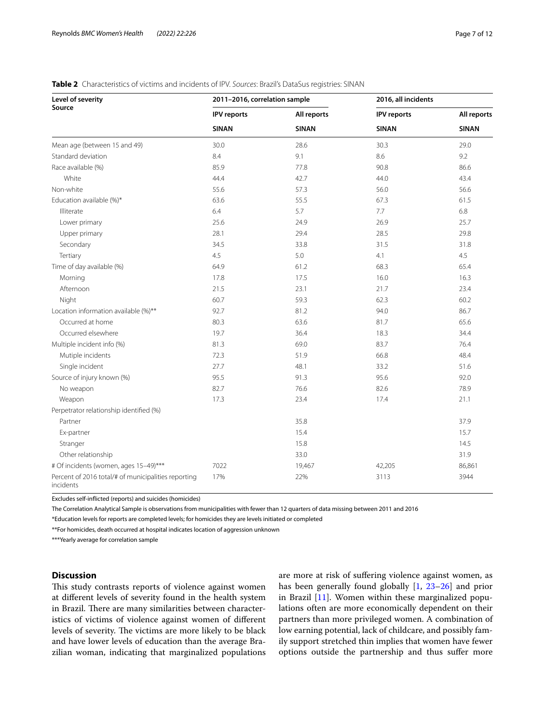| Level of severity                                                | 2011-2016, correlation sample |              | 2016, all incidents |              |
|------------------------------------------------------------------|-------------------------------|--------------|---------------------|--------------|
| Source                                                           | <b>IPV</b> reports            | All reports  | <b>IPV</b> reports  | All reports  |
|                                                                  | <b>SINAN</b>                  | <b>SINAN</b> | <b>SINAN</b>        | <b>SINAN</b> |
| Mean age (between 15 and 49)                                     | 30.0                          | 28.6         | 30.3                | 29.0         |
| Standard deviation                                               | 8.4                           | 9.1          | 8.6                 | 9.2          |
| Race available (%)                                               | 85.9                          | 77.8         | 90.8                | 86.6         |
| White                                                            | 44.4                          | 42.7         | 44.0                | 43.4         |
| Non-white                                                        | 55.6                          | 57.3         | 56.0                | 56.6         |
| Education available (%)*                                         | 63.6                          | 55.5         | 67.3                | 61.5         |
| Illiterate                                                       | 6.4                           | 5.7          | 7.7                 | 6.8          |
| Lower primary                                                    | 25.6                          | 24.9         | 26.9                | 25.7         |
| Upper primary                                                    | 28.1                          | 29.4         | 28.5                | 29.8         |
| Secondary                                                        | 34.5                          | 33.8         | 31.5                | 31.8         |
| Tertiary                                                         | 4.5                           | 5.0          | 4.1                 | 4.5          |
| Time of day available (%)                                        | 64.9                          | 61.2         | 68.3                | 65.4         |
| Morning                                                          | 17.8                          | 17.5         | 16.0                | 16.3         |
| Afternoon                                                        | 21.5                          | 23.1         | 21.7                | 23.4         |
| Night                                                            | 60.7                          | 59.3         | 62.3                | 60.2         |
| Location information available (%)**                             | 92.7                          | 81.2         | 94.0                | 86.7         |
| Occurred at home                                                 | 80.3                          | 63.6         | 81.7                | 65.6         |
| Occurred elsewhere                                               | 19.7                          | 36.4         | 18.3                | 34.4         |
| Multiple incident info (%)                                       | 81.3                          | 69.0         | 83.7                | 76.4         |
| Mutiple incidents                                                | 72.3                          | 51.9         | 66.8                | 48.4         |
| Single incident                                                  | 27.7                          | 48.1         | 33.2                | 51.6         |
| Source of injury known (%)                                       | 95.5                          | 91.3         | 95.6                | 92.0         |
| No weapon                                                        | 82.7                          | 76.6         | 82.6                | 78.9         |
| Weapon                                                           | 17.3                          | 23.4         | 17.4                | 21.1         |
| Perpetrator relationship identified (%)                          |                               |              |                     |              |
| Partner                                                          |                               | 35.8         |                     | 37.9         |
| Ex-partner                                                       |                               | 15.4         |                     | 15.7         |
| Stranger                                                         |                               | 15.8         |                     | 14.5         |
| Other relationship                                               |                               | 33.0         |                     | 31.9         |
| # Of incidents (women, ages 15-49)***                            | 7022                          | 19,467       | 42,205              | 86,861       |
| Percent of 2016 total/# of municipalities reporting<br>incidents | 17%                           | 22%          | 3113                | 3944         |

<span id="page-6-0"></span>

| Table 2 Characteristics of victims and incidents of IPV. Sources: Brazil's DataSus registries: SINAN |  |
|------------------------------------------------------------------------------------------------------|--|
|------------------------------------------------------------------------------------------------------|--|

Excludes self-inficted (reports) and suicides (homicides)

The Correlation Analytical Sample is observations from municipalities with fewer than 12 quarters of data missing between 2011 and 2016 \*Education levels for reports are completed levels; for homicides they are levels initiated or completed

\*\*For homicides, death occurred at hospital indicates location of aggression unknown

\*\*\*Yearly average for correlation sample

## **Discussion**

This study contrasts reports of violence against women at diferent levels of severity found in the health system in Brazil. There are many similarities between characteristics of victims of violence against women of diferent levels of severity. The victims are more likely to be black and have lower levels of education than the average Brazilian woman, indicating that marginalized populations are more at risk of sufering violence against women, as has been generally found globally [[1](#page-10-0), [23–](#page-10-22)[26](#page-11-0)] and prior in Brazil [\[11\]](#page-10-10). Women within these marginalized populations often are more economically dependent on their partners than more privileged women. A combination of low earning potential, lack of childcare, and possibly family support stretched thin implies that women have fewer options outside the partnership and thus sufer more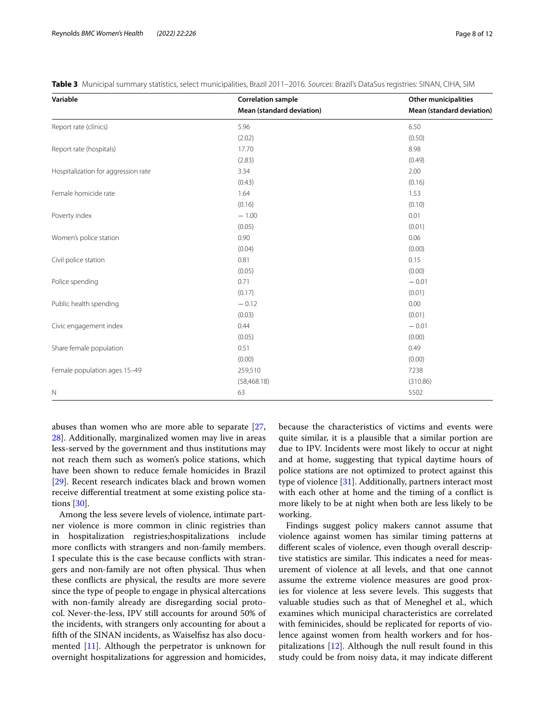| Variable                            | <b>Correlation sample</b> | <b>Other municipalities</b> |
|-------------------------------------|---------------------------|-----------------------------|
|                                     | Mean (standard deviation) | Mean (standard deviation)   |
| Report rate (clinics)               | 5.96                      | 6.50                        |
|                                     | (2.02)                    | (0.50)                      |
| Report rate (hospitals)             | 17.70                     | 8.98                        |
|                                     | (2.83)                    | (0.49)                      |
| Hospitalization for aggression rate | 3.34                      | 2.00                        |
|                                     | (0.43)                    | (0.16)                      |
| Female homicide rate                | 1.64                      | 1.53                        |
|                                     | (0.16)                    | (0.10)                      |
| Poverty index                       | $-1.00$                   | 0.01                        |
|                                     | (0.05)                    | (0.01)                      |
| Women's police station              | 0.90                      | 0.06                        |
|                                     | (0.04)                    | (0.00)                      |
| Civil police station                | 0.81                      | 0.15                        |
|                                     | (0.05)                    | (0.00)                      |
| Police spending                     | 0.71                      | $-0.01$                     |
|                                     | (0.17)                    | (0.01)                      |
| Public health spending              | $-0.12$                   | 0.00                        |
|                                     | (0.03)                    | (0.01)                      |
| Civic engagement index              | 0.44                      | $-0.01$                     |
|                                     | (0.05)                    | (0.00)                      |
| Share female population             | 0.51                      | 0.49                        |
|                                     | (0.00)                    | (0.00)                      |
| Female population ages 15-49        | 259,510                   | 7238                        |
|                                     | (58, 468.18)              | (310.86)                    |
| $\mathbb N$                         | 63                        | 5502                        |

<span id="page-7-0"></span>**Table 3** Municipal summary statistics, select municipalities, Brazil 2011–2016. *Sources*: Brazil's DataSus registries: SINAN, CIHA, SIM

abuses than women who are more able to separate [\[27](#page-11-1), [28\]](#page-11-2). Additionally, marginalized women may live in areas less-served by the government and thus institutions may not reach them such as women's police stations, which have been shown to reduce female homicides in Brazil [[29\]](#page-11-3). Recent research indicates black and brown women receive diferential treatment at some existing police stations [\[30](#page-11-4)].

Among the less severe levels of violence, intimate partner violence is more common in clinic registries than in hospitalization registries;hospitalizations include more conficts with strangers and non-family members. I speculate this is the case because conficts with strangers and non-family are not often physical. Thus when these conficts are physical, the results are more severe since the type of people to engage in physical altercations with non-family already are disregarding social protocol. Never-the-less, IPV still accounts for around 50% of the incidents, with strangers only accounting for about a ffth of the SINAN incidents, as Waiselfsz has also documented [\[11\]](#page-10-10). Although the perpetrator is unknown for overnight hospitalizations for aggression and homicides, because the characteristics of victims and events were quite similar, it is a plausible that a similar portion are due to IPV. Incidents were most likely to occur at night and at home, suggesting that typical daytime hours of police stations are not optimized to protect against this type of violence [[31\]](#page-11-5). Additionally, partners interact most with each other at home and the timing of a confict is more likely to be at night when both are less likely to be working.

Findings suggest policy makers cannot assume that violence against women has similar timing patterns at diferent scales of violence, even though overall descriptive statistics are similar. This indicates a need for measurement of violence at all levels, and that one cannot assume the extreme violence measures are good proxies for violence at less severe levels. This suggests that valuable studies such as that of Meneghel et al., which examines which municipal characteristics are correlated with feminicides, should be replicated for reports of violence against women from health workers and for hospitalizations [\[12](#page-10-11)]. Although the null result found in this study could be from noisy data, it may indicate diferent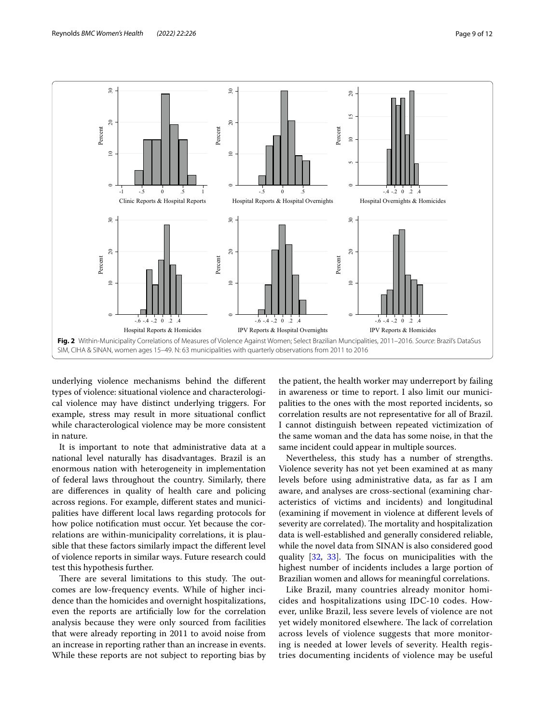

<span id="page-8-0"></span>underlying violence mechanisms behind the diferent types of violence: situational violence and characterological violence may have distinct underlying triggers. For example, stress may result in more situational confict while characterological violence may be more consistent in nature.

It is important to note that administrative data at a national level naturally has disadvantages. Brazil is an enormous nation with heterogeneity in implementation of federal laws throughout the country. Similarly, there are diferences in quality of health care and policing across regions. For example, diferent states and municipalities have diferent local laws regarding protocols for how police notifcation must occur. Yet because the correlations are within-municipality correlations, it is plausible that these factors similarly impact the diferent level of violence reports in similar ways. Future research could test this hypothesis further.

There are several limitations to this study. The outcomes are low-frequency events. While of higher incidence than the homicides and overnight hospitalizations, even the reports are artifcially low for the correlation analysis because they were only sourced from facilities that were already reporting in 2011 to avoid noise from an increase in reporting rather than an increase in events. While these reports are not subject to reporting bias by

the patient, the health worker may underreport by failing in awareness or time to report. I also limit our municipalities to the ones with the most reported incidents, so correlation results are not representative for all of Brazil. I cannot distinguish between repeated victimization of the same woman and the data has some noise, in that the same incident could appear in multiple sources.

Nevertheless, this study has a number of strengths. Violence severity has not yet been examined at as many levels before using administrative data, as far as I am aware, and analyses are cross-sectional (examining characteristics of victims and incidents) and longitudinal (examining if movement in violence at diferent levels of severity are correlated). The mortality and hospitalization data is well-established and generally considered reliable, while the novel data from SINAN is also considered good quality [[32,](#page-11-6) [33](#page-11-7)]. The focus on municipalities with the highest number of incidents includes a large portion of Brazilian women and allows for meaningful correlations.

Like Brazil, many countries already monitor homicides and hospitalizations using IDC-10 codes. However, unlike Brazil, less severe levels of violence are not yet widely monitored elsewhere. The lack of correlation across levels of violence suggests that more monitoring is needed at lower levels of severity. Health registries documenting incidents of violence may be useful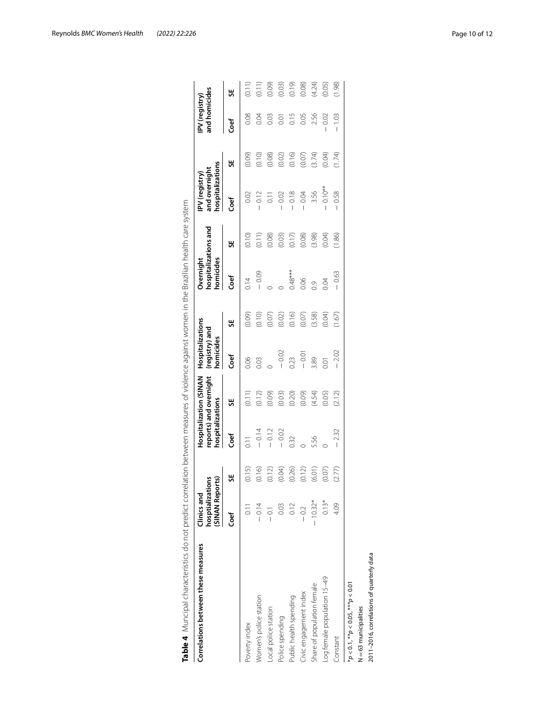<span id="page-9-0"></span>

| Correlations between these measures       | hosptializations<br>(SINAN Reports)<br>Clinics and |        | hospitalizations | reports) and overnight<br><b>Hospitalization (SINAN</b> | Hospitalizations<br>(registry) and<br>homicides |        | homicides<br>Overnight | hospitalizations and | hospitalizations<br>and overnight<br>IPV (registry) |        | and homicides<br>IPV (registry) |        |
|-------------------------------------------|----------------------------------------------------|--------|------------------|---------------------------------------------------------|-------------------------------------------------|--------|------------------------|----------------------|-----------------------------------------------------|--------|---------------------------------|--------|
|                                           | Coef                                               | 븼      | Coef             | 븼                                                       | Coef                                            | 븼      | Coef                   | ₩                    | Coef                                                | š      | Coef                            | œ      |
| Poverty index                             | $\overline{0.11}$                                  | (0.15) | 0.11             | (0.11)                                                  | 0.06                                            | (0.09) | 0.14                   | (0.10)               | 0.02                                                | (0.09) | 0.08                            | (0.11) |
| Nomen's police station                    | $-0.14$                                            | (0.16) | $-0.14$          | (0.12)                                                  | 0.03                                            | (0.10) | $-0.09$                | (0.11)               | $-0.12$                                             | (0.10) | 0.04                            | (0.11) |
| -ocal police station                      |                                                    | (0.12) | $-0.12$          | (0.09)                                                  |                                                 | (0.07) |                        | (0.08)               | 0.11                                                | (0.08) | 0.03                            | (0.09) |
| Police spending                           | 0.03                                               | (0.04) | $-0.02$          | (0.03)                                                  | $-0.02$                                         | (0.02) |                        | (0.03)               | $-0.02$                                             | (0.02) | 0.01                            | (0.03) |
| Public health spending                    | 0.12                                               | (0.26) | 0.32             | (0.20)                                                  | 0.23                                            | (0.16) | $0.48***$              | (0.17)               | $-0.18$                                             | (0.16) | 0.15                            | (0.19) |
| Civic engagement index                    | $-0.2$                                             | (0.12) |                  | (0.09)                                                  | $-0.01$                                         | (0.07) | 0.06                   | (0.08)               | $-0.04$                                             | (0.07) | 0.05                            | (0.08) |
| Share of population female                | $-10.32*$                                          | (6.01) | 5.56             | (4.54)                                                  | 3.89                                            | (3.58) | 0.9                    | (3.98)               | 3.56                                                | (3.74) | 2.56                            | (4.24) |
| og female population 15-49                | $0.13*$                                            | (0.07) |                  | (0.05)                                                  | 0.01                                            | (0.04) | 0.04                   | (0.04)               | $0.10***$                                           | (0.04) | 0.02                            | (0.05) |
| Constant                                  | 4.09                                               | (2.77) | $-2.32$          | (2.12)                                                  | $-2.02$                                         | (1.67) | $-0.63$                | (1.86)               | 0.58                                                | (1.74) | $-1.03$                         | (1.98) |
| $*p < 0.1, **p < 0.05, **p < 0.01$        |                                                    |        |                  |                                                         |                                                 |        |                        |                      |                                                     |        |                                 |        |
| N=63 municipalities                       |                                                    |        |                  |                                                         |                                                 |        |                        |                      |                                                     |        |                                 |        |
| 2011-2016, correlations of quarterly data |                                                    |        |                  |                                                         |                                                 |        |                        |                      |                                                     |        |                                 |        |

Reynolds *BMC Women's Health (2022) 22:226* Page 10 of 12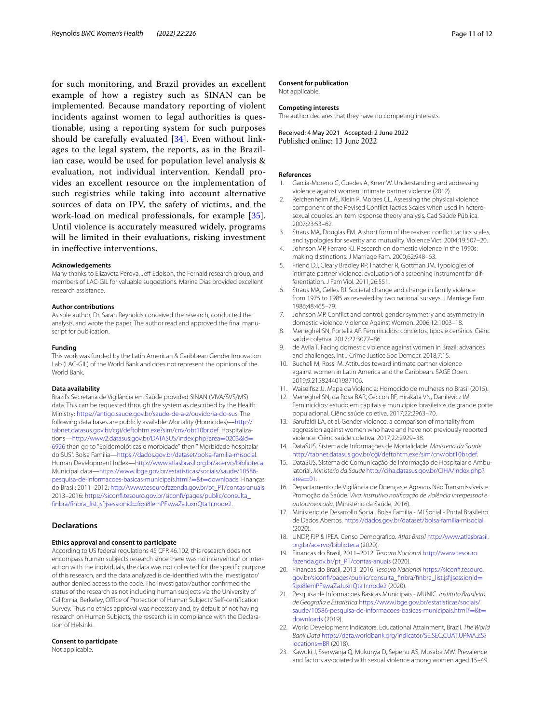for such monitoring, and Brazil provides an excellent example of how a registry such as SINAN can be implemented. Because mandatory reporting of violent incidents against women to legal authorities is questionable, using a reporting system for such purposes should be carefully evaluated [\[34\]](#page-11-8). Even without linkages to the legal system, the reports, as in the Brazilian case, would be used for population level analysis & evaluation, not individual intervention. Kendall provides an excellent resource on the implementation of such registries while taking into account alternative sources of data on IPV, the safety of victims, and the work-load on medical professionals, for example [[35\]](#page-11-9). Until violence is accurately measured widely, programs will be limited in their evaluations, risking investment in inefective interventions.

## **Acknowledgements**

Many thanks to Elizaveta Perova, Jeff Edelson, the Fernald research group, and members of LAC-GIL for valuable suggestions. Marina Dias provided excellent research assistance.

#### **Author contributions**

As sole author, Dr. Sarah Reynolds conceived the research, conducted the analysis, and wrote the paper. The author read and approved the fnal manuscript for publication.

#### **Funding**

This work was funded by the Latin American & Caribbean Gender Innovation Lab (LAC-GIL) of the World Bank and does not represent the opinions of the World Bank.

#### **Data availability**

Brazil's Secretaria de Vigilância em Saúde provided SINAN (VIVA/SVS/MS) data. This can be requested through the system as described by the Health Ministry: [https://antigo.saude.gov.br/saude-de-a-z/ouvidoria-do-sus.](https://antigo.saude.gov.br/saude-de-a-z/ouvidoria-do-sus) The following data bases are publicly available: Mortality (Homicides)—[http://](http://tabnet.datasus.gov.br/cgi/deftohtm.exe?sim/cnv/obt10br.def) [tabnet.datasus.gov.br/cgi/deftohtm.exe?sim/cnv/obt10br.def.](http://tabnet.datasus.gov.br/cgi/deftohtm.exe?sim/cnv/obt10br.def) Hospitalizations—[http://www2.datasus.gov.br/DATASUS/index.php?area](http://www2.datasus.gov.br/DATASUS/index.php?area=0203&id=6926)=0203&id= [6926](http://www2.datasus.gov.br/DATASUS/index.php?area=0203&id=6926) then go to "Epidemolóticas e morbidade" then " Morbidade hospitalar do SUS". Bolsa Familia—<https://dados.gov.br/dataset/bolsa-familia-misocial>. Human Development Index—[http://www.atlasbrasil.org.br/acervo/biblioteca.](http://www.atlasbrasil.org.br/acervo/biblioteca) Municipal data—[https://www.ibge.gov.br/estatisticas/sociais/saude/10586](https://www.ibge.gov.br/estatisticas/sociais/saude/10586-pesquisa-de-informacoes-basicas-municipais.html?=&t=downloads) [pesquisa-de-informacoes-basicas-municipais.html?](https://www.ibge.gov.br/estatisticas/sociais/saude/10586-pesquisa-de-informacoes-basicas-municipais.html?=&t=downloads)=&t=downloads. Finanças do Brasil: 2011–2012: [http://www.tesouro.fazenda.gov.br/pt\\_PT/contas-anuais.](http://www.tesouro.fazenda.gov.br/pt_PT/contas-anuais) 2013–2016: [https://siconf.tesouro.gov.br/siconf/pages/public/consulta\\_](https://siconfi.tesouro.gov.br/siconfi/pages/public/consulta_finbra/finbra_list.jsf;jsessionid=fqxi8lemPFswaZaJuxnQta1r.node2) fnbra/fnbra\_list.jsf;jsessionid=[fqxi8lemPFswaZaJuxnQta1r.node2](https://siconfi.tesouro.gov.br/siconfi/pages/public/consulta_finbra/finbra_list.jsf;jsessionid=fqxi8lemPFswaZaJuxnQta1r.node2).

## **Declarations**

## **Ethics approval and consent to participate**

According to US federal regulations 45 CFR 46.102, this research does not encompass human subjects research since there was no intervention or interaction with the individuals, the data was not collected for the specifc purpose of this research, and the data analyzed is de-identifed with the investigator/ author denied access to the code. The investigator/author confrmed the status of the research as not including human subjects via the University of California, Berkeley, Office of Protection of Human Subjects' Self-certification Survey. Thus no ethics approval was necessary and, by default of not having research on Human Subjects, the research is in compliance with the Declaration of Helsinki.

## **Consent to participate**

Not applicable.

#### **Consent for publication**

Not applicable.

## **Competing interests**

The author declares that they have no competing interests.

Received: 4 May 2021 Accepted: 2 June 2022<br>Published online: 13 June 2022

## **References**

- <span id="page-10-0"></span>Garcia-Moreno C, Guedes A, Knerr W. Understanding and addressing violence against women: Intimate partner violence (2012).
- <span id="page-10-1"></span>2. Reichenheim ME, Klein R, Moraes CL. Assessing the physical violence component of the Revised Confict Tactics Scales when used in heterosexual couples: an item response theory analysis. Cad Saúde Pública. 2007;23:53–62.
- <span id="page-10-2"></span>3. Straus MA, Douglas EM. A short form of the revised confict tactics scales, and typologies for severity and mutuality. Violence Vict. 2004;19:507–20.
- <span id="page-10-3"></span>4. Johnson MP, Ferraro KJ. Research on domestic violence in the 1990s: making distinctions. J Marriage Fam. 2000;62:948–63.
- <span id="page-10-4"></span>5. Friend DJ, Cleary Bradley RP, Thatcher R, Gottman JM. Typologies of intimate partner violence: evaluation of a screening instrument for differentiation. J Fam Viol. 2011;26:551.
- <span id="page-10-5"></span>6. Straus MA, Gelles RJ. Societal change and change in family violence from 1975 to 1985 as revealed by two national surveys. J Marriage Fam. 1986;48:465–79.
- <span id="page-10-6"></span>7. Johnson MP. Confict and control: gender symmetry and asymmetry in domestic violence. Violence Against Women. 2006;12:1003–18.
- <span id="page-10-7"></span>8. Meneghel SN, Portella AP. Feminicídios: conceitos, tipos e cenários. Ciênc saúde coletiva. 2017;22:3077–86.
- <span id="page-10-8"></span>9. de Avila T. Facing domestic violence against women in Brazil: advances and challenges. Int J Crime Justice Soc Democr. 2018;7:15.
- <span id="page-10-9"></span>10. Bucheli M, Rossi M. Attitudes toward intimate partner violence against women in Latin America and the Caribbean. SAGE Open. 2019;9:215824401987106.
- <span id="page-10-10"></span>11. Waiselfsz JJ. Mapa da Violencia: Homocido de mulheres no Brasil (2015).
- <span id="page-10-11"></span>12. Meneghel SN, da Rosa BAR, Ceccon RF, Hirakata VN, Danilevicz IM. Feminicídios: estudo em capitais e municípios brasileiros de grande porte populacional. Ciênc saúde coletiva. 2017;22:2963–70.
- <span id="page-10-12"></span>13. Barufaldi LA, et al. Gender violence: a comparison of mortality from aggression against women who have and have not previously reported violence. Ciênc saúde coletiva. 2017;22:2929–38.
- <span id="page-10-13"></span>14. DataSUS. Sistema de Informações de Mortalidade. *Ministerio da Saude* <http://tabnet.datasus.gov.br/cgi/deftohtm.exe?sim/cnv/obt10br.def>.
- <span id="page-10-14"></span>15. DataSUS. Sistema de Comunicação de Informação de Hospitalar e Ambulatorial. *Ministerio da Saude* [http://ciha.datasus.gov.br/CIHA/index.php?](http://ciha.datasus.gov.br/CIHA/index.php?area=01) area=01.
- <span id="page-10-15"></span>16. [Departam](http://ciha.datasus.gov.br/CIHA/index.php?area=01)ento de Vigilância de Doenças e Agravos Não Transmissíveis e Promoção da Saúde. *Viva: instrutivo notifcação de violência interpessoal e autoprovocada*. (Ministério da Saúde, 2016).
- <span id="page-10-16"></span>17. Ministerio de Desarrollo Social. Bolsa Família - MI Social - Portal Brasileiro de Dados Abertos.<https://dados.gov.br/dataset/bolsa-familia-misocial>  $(2020)$
- <span id="page-10-17"></span>18. UNDP, FJP & IPEA. Censo Demografco. *Atlas Brasil* [http://www.atlasbrasil.](http://www.atlasbrasil.org.br/acervo/biblioteca) [org.br/acervo/biblioteca](http://www.atlasbrasil.org.br/acervo/biblioteca) (2020).
- <span id="page-10-18"></span>19. Financas do Brasil, 2011–2012. *Tesouro Nacional* [http://www.tesouro.](http://www.tesouro.fazenda.gov.br/pt_PT/contas-anuais) [fazenda.gov.br/pt\\_PT/contas-anuais](http://www.tesouro.fazenda.gov.br/pt_PT/contas-anuais) (2020).
- <span id="page-10-19"></span>20. Financas do Brasil, 2013–2016. *Tesouro Nacional* [https://siconf.tesouro.](https://siconfi.tesouro.gov.br/siconfi/pages/public/consulta_finbra/finbra_list.jsf;jsessionid=fqxi8lemPFswaZaJuxnQta1r.node2) gov.br/siconfi/pages/public/consulta\_finbra/finbra\_list.jsf;jsessionid= [fqxi8lemPFswaZaJuxnQta1r.node2](https://siconfi.tesouro.gov.br/siconfi/pages/public/consulta_finbra/finbra_list.jsf;jsessionid=fqxi8lemPFswaZaJuxnQta1r.node2) (2020).
- <span id="page-10-20"></span>21. Pesquisa de Informacoes Basicas Municipais - MUNIC. *Instituto Brasileiro de Geografa e Estatistica* [https://www.ibge.gov.br/estatisticas/sociais/](https://www.ibge.gov.br/estatisticas/sociais/saude/10586-pesquisa-de-informacoes-basicas-municipais.html?=&t=downloads) [saude/10586-pesquisa-de-informacoes-basicas-municipais.html?](https://www.ibge.gov.br/estatisticas/sociais/saude/10586-pesquisa-de-informacoes-basicas-municipais.html?=&t=downloads)=&t= [downloads](https://www.ibge.gov.br/estatisticas/sociais/saude/10586-pesquisa-de-informacoes-basicas-municipais.html?=&t=downloads) (2019).
- <span id="page-10-21"></span>22. World Development Indicators. Educational Attainment, Brazil. *The World Bank Data* [https://data.worldbank.org/indicator/SE.SEC.CUAT.UP.MA.ZS?](https://data.worldbank.org/indicator/SE.SEC.CUAT.UP.MA.ZS?locations=BR) [locations](https://data.worldbank.org/indicator/SE.SEC.CUAT.UP.MA.ZS?locations=BR)=BR (2018).
- <span id="page-10-22"></span>23. Kawuki J, Sserwanja Q, Mukunya D, Sepenu AS, Musaba MW. Prevalence and factors associated with sexual violence among women aged 15–49